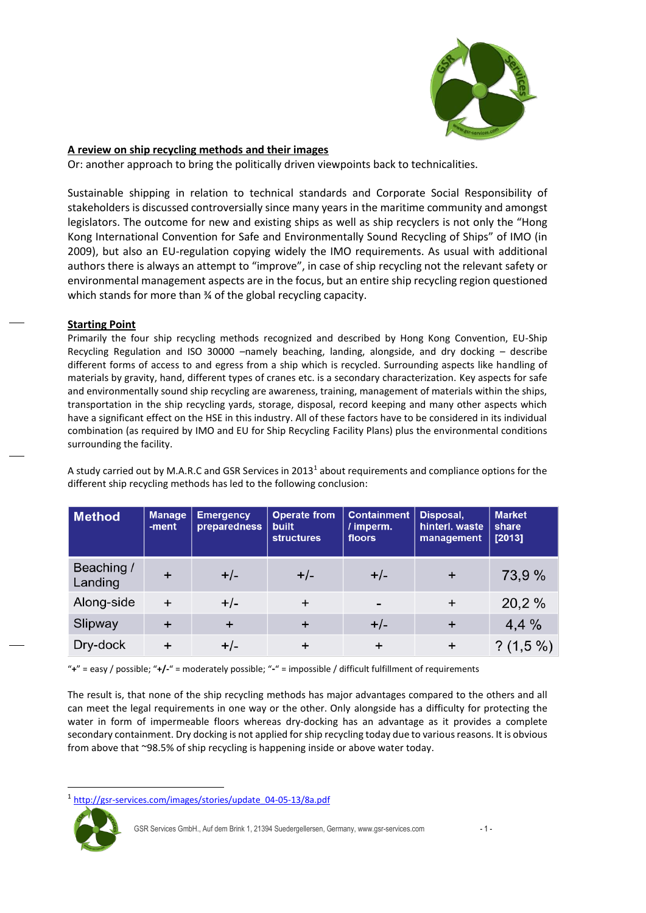

# **A review on ship recycling methods and their images**

Or: another approach to bring the politically driven viewpoints back to technicalities.

Sustainable shipping in relation to technical standards and Corporate Social Responsibility of stakeholders is discussed controversially since many years in the maritime community and amongst legislators. The outcome for new and existing ships as well as ship recyclers is not only the "Hong Kong International Convention for Safe and Environmentally Sound Recycling of Ships" of IMO (in 2009), but also an EU-regulation copying widely the IMO requirements. As usual with additional authors there is always an attempt to "improve", in case of ship recycling not the relevant safety or environmental management aspects are in the focus, but an entire ship recycling region questioned which stands for more than 34 of the global recycling capacity.

### **Starting Point**

Primarily the four ship recycling methods recognized and described by Hong Kong Convention, EU-Ship Recycling Regulation and ISO 30000 –namely beaching, landing, alongside, and dry docking – describe different forms of access to and egress from a ship which is recycled. Surrounding aspects like handling of materials by gravity, hand, different types of cranes etc. is a secondary characterization. Key aspects for safe and environmentally sound ship recycling are awareness, training, management of materials within the ships, transportation in the ship recycling yards, storage, disposal, record keeping and many other aspects which have a significant effect on the HSE in this industry. All of these factors have to be considered in its individual combination (as required by IMO and EU for Ship Recycling Facility Plans) plus the environmental conditions surrounding the facility.

A study carried out by M.A.R.C and GSR Services in 2013<sup>1</sup> about requirements and compliance options for the different ship recycling methods has led to the following conclusion:

| <b>Method</b>         | <b>Manage</b><br>-ment | <b>Emergency</b><br>preparedness | <b>Operate from</b><br>built<br><b>structures</b> | <b>Containment</b><br>/ imperm.<br>floors | Disposal,<br>hinterl. waste<br>management | <b>Market</b><br>share<br>[2013] |
|-----------------------|------------------------|----------------------------------|---------------------------------------------------|-------------------------------------------|-------------------------------------------|----------------------------------|
| Beaching /<br>Landing |                        | $+/-$                            | $+/-$                                             | $+/-$                                     | $+$                                       | 73,9 %                           |
| Along-side            | $+$                    | $+/-$                            | $\ddot{}$                                         | $\qquad \qquad$                           | $\ddot{}$                                 | 20,2%                            |
| Slipway               |                        | $+$                              | $\pm$                                             | $+/-$                                     | $\ddot{}$                                 | 4,4%                             |
| Dry-dock              |                        | $+/-$                            |                                                   |                                           |                                           | $? (1,5\%)$                      |

"**+**" = easy / possible; "**+/-**" = moderately possible; "**-**" = impossible / difficult fulfillment of requirements

The result is, that none of the ship recycling methods has major advantages compared to the others and all can meet the legal requirements in one way or the other. Only alongside has a difficulty for protecting the water in form of impermeable floors whereas dry-docking has an advantage as it provides a complete secondary containment. Dry docking is not applied for ship recycling today due to various reasons. It is obvious from above that ~98.5% of ship recycling is happening inside or above water today.

[http://gsr-services.com/images/stories/update\\_04-05-13/8a.pdf](http://gsr-services.com/images/stories/update_04-05-13/8a.pdf)



l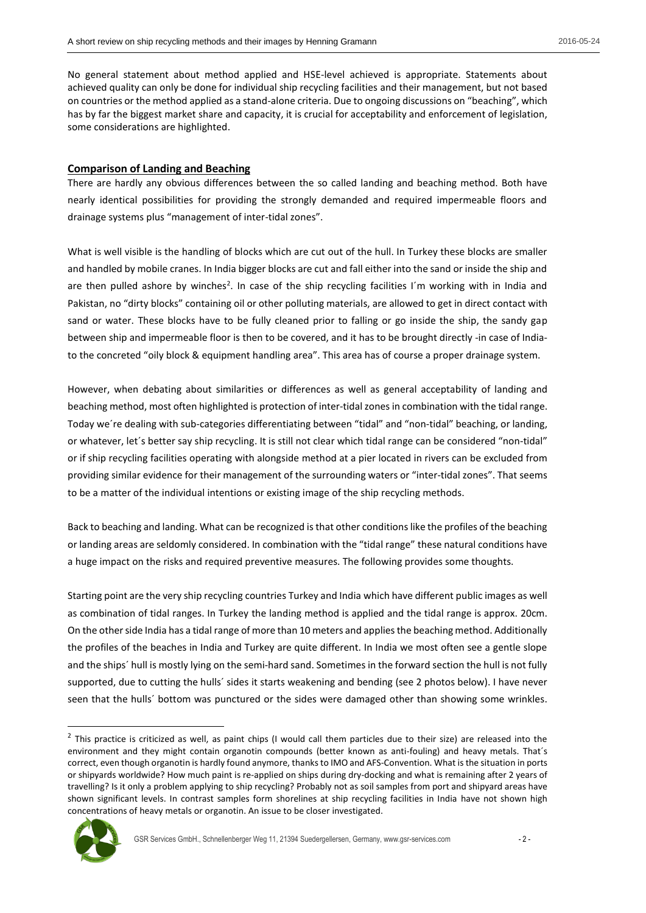No general statement about method applied and HSE-level achieved is appropriate. Statements about achieved quality can only be done for individual ship recycling facilities and their management, but not based on countries or the method applied as a stand-alone criteria. Due to ongoing discussions on "beaching", which has by far the biggest market share and capacity, it is crucial for acceptability and enforcement of legislation, some considerations are highlighted.

### **Comparison of Landing and Beaching**

There are hardly any obvious differences between the so called landing and beaching method. Both have nearly identical possibilities for providing the strongly demanded and required impermeable floors and drainage systems plus "management of inter-tidal zones".

What is well visible is the handling of blocks which are cut out of the hull. In Turkey these blocks are smaller and handled by mobile cranes. In India bigger blocks are cut and fall either into the sand or inside the ship and are then pulled ashore by winches<sup>2</sup>. In case of the ship recycling facilities I'm working with in India and Pakistan, no "dirty blocks" containing oil or other polluting materials, are allowed to get in direct contact with sand or water. These blocks have to be fully cleaned prior to falling or go inside the ship, the sandy gap between ship and impermeable floor is then to be covered, and it has to be brought directly -in case of Indiato the concreted "oily block & equipment handling area". This area has of course a proper drainage system.

However, when debating about similarities or differences as well as general acceptability of landing and beaching method, most often highlighted is protection of inter-tidal zones in combination with the tidal range. Today we´re dealing with sub-categories differentiating between "tidal" and "non-tidal" beaching, or landing, or whatever, let´s better say ship recycling. It is still not clear which tidal range can be considered "non-tidal" or if ship recycling facilities operating with alongside method at a pier located in rivers can be excluded from providing similar evidence for their management of the surrounding waters or "inter-tidal zones". That seems to be a matter of the individual intentions or existing image of the ship recycling methods.

Back to beaching and landing. What can be recognized is that other conditions like the profiles of the beaching or landing areas are seldomly considered. In combination with the "tidal range" these natural conditions have a huge impact on the risks and required preventive measures. The following provides some thoughts.

Starting point are the very ship recycling countries Turkey and India which have different public images as well as combination of tidal ranges. In Turkey the landing method is applied and the tidal range is approx. 20cm. On the other side India has a tidal range of more than 10 meters and applies the beaching method. Additionally the profiles of the beaches in India and Turkey are quite different. In India we most often see a gentle slope and the ships´ hull is mostly lying on the semi-hard sand. Sometimes in the forward section the hull is not fully supported, due to cutting the hulls´ sides it starts weakening and bending (see 2 photos below). I have never seen that the hulls´ bottom was punctured or the sides were damaged other than showing some wrinkles.

 $<sup>2</sup>$  This practice is criticized as well, as paint chips (I would call them particles due to their size) are released into the</sup> environment and they might contain organotin compounds (better known as anti-fouling) and heavy metals. That´s correct, even though organotin is hardly found anymore, thanks to IMO and AFS-Convention. What is the situation in ports or shipyards worldwide? How much paint is re-applied on ships during dry-docking and what is remaining after 2 years of travelling? Is it only a problem applying to ship recycling? Probably not as soil samples from port and shipyard areas have shown significant levels. In contrast samples form shorelines at ship recycling facilities in India have not shown high concentrations of heavy metals or organotin. An issue to be closer investigated.



 $\overline{a}$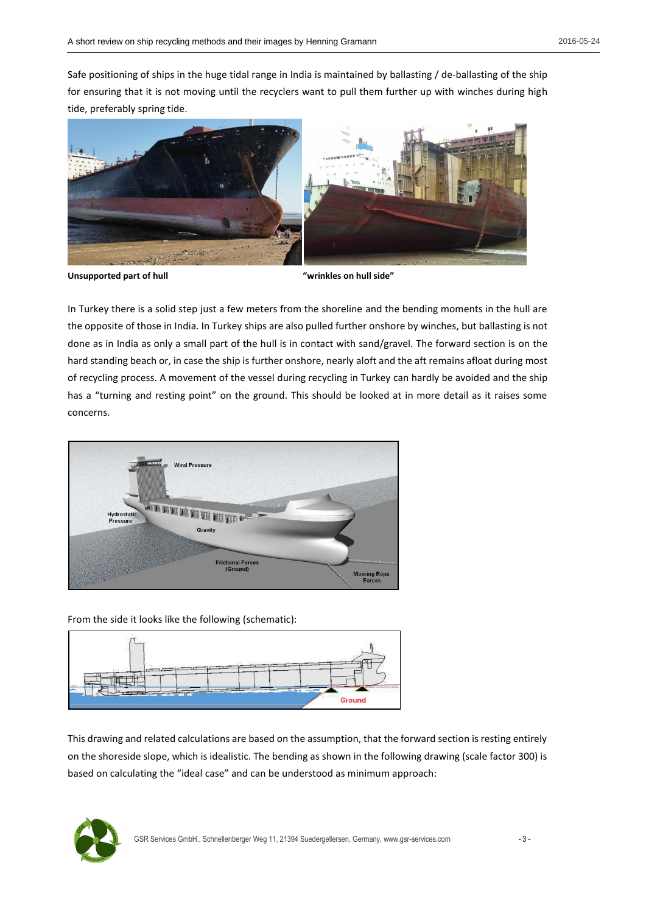Safe positioning of ships in the huge tidal range in India is maintained by ballasting / de-ballasting of the ship for ensuring that it is not moving until the recyclers want to pull them further up with winches during high tide, preferably spring tide.



**Unsupported part of hull "wrinkles on hull side"**

In Turkey there is a solid step just a few meters from the shoreline and the bending moments in the hull are the opposite of those in India. In Turkey ships are also pulled further onshore by winches, but ballasting is not done as in India as only a small part of the hull is in contact with sand/gravel. The forward section is on the hard standing beach or, in case the ship is further onshore, nearly aloft and the aft remains afloat during most of recycling process. A movement of the vessel during recycling in Turkey can hardly be avoided and the ship has a "turning and resting point" on the ground. This should be looked at in more detail as it raises some concerns.



From the side it looks like the following (schematic):



This drawing and related calculations are based on the assumption, that the forward section is resting entirely on the shoreside slope, which is idealistic. The bending as shown in the following drawing (scale factor 300) is based on calculating the "ideal case" and can be understood as minimum approach:

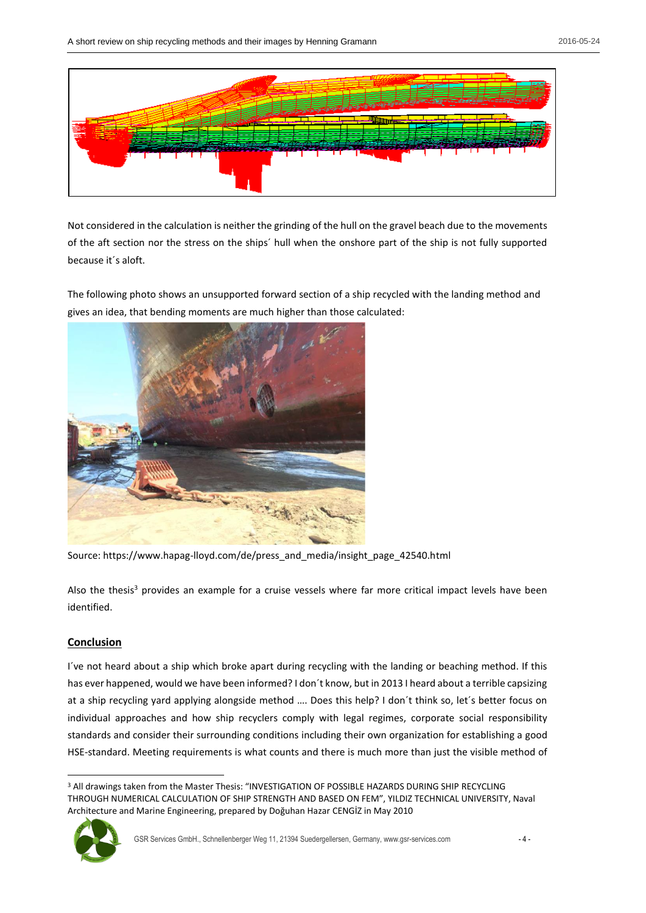

Not considered in the calculation is neither the grinding of the hull on the gravel beach due to the movements of the aft section nor the stress on the ships´ hull when the onshore part of the ship is not fully supported because it´s aloft.

The following photo shows an unsupported forward section of a ship recycled with the landing method and gives an idea, that bending moments are much higher than those calculated:



Source: https://www.hapag-lloyd.com/de/press\_and\_media/insight\_page\_42540.html

Also the thesis<sup>3</sup> provides an example for a cruise vessels where far more critical impact levels have been identified.

# **Conclusion**

I´ve not heard about a ship which broke apart during recycling with the landing or beaching method. If this has ever happened, would we have been informed? I don´t know, but in 2013 I heard about a terrible capsizing at a ship recycling yard applying alongside method …. Does this help? I don´t think so, let´s better focus on individual approaches and how ship recyclers comply with legal regimes, corporate social responsibility standards and consider their surrounding conditions including their own organization for establishing a good HSE-standard. Meeting requirements is what counts and there is much more than just the visible method of

 $\overline{a}$ <sup>3</sup> All drawings taken from the Master Thesis: "INVESTIGATION OF POSSIBLE HAZARDS DURING SHIP RECYCLING THROUGH NUMERICAL CALCULATION OF SHIP STRENGTH AND BASED ON FEM", YILDIZ TECHNICAL UNIVERSITY, Naval Architecture and Marine Engineering, prepared by Doğuhan Hazar CENGİZ in May 2010